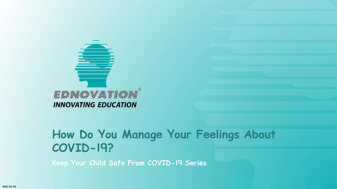

**Keep Your Child Safe From COVID-19 Series**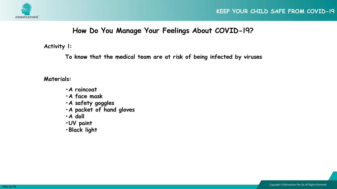

## **Activity 1:**

**To know that the medical team are at risk of being infected by viruses**

**Materials:**

- **•A raincoat**
- **•A face mask**
- **•A safety goggles**
- **•A packet of hand gloves**
- **•A doll**
- **•UV paint**
- **•Black light**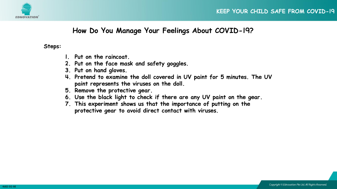



#### **Steps:**

- **1. Put on the raincoat.**
- **2. Put on the face mask and safety goggles.**
- **3. Put on hand gloves.**
- **4. Pretend to examine the doll covered in UV paint for 5 minutes. The UV paint represents the viruses on the doll.**
- **5. Remove the protective gear.**
- **6. Use the black light to check if there are any UV paint on the gear.**
- **7. This experiment shows us that the importance of putting on the protective gear to avoid direct contact with viruses.**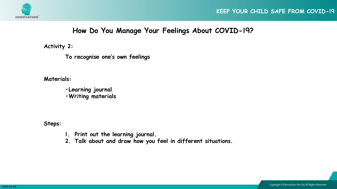

**Activity 2:**

**To recognise one's own feelings**

**Materials:**

**•Learning journal •Writing materials**

**Steps:**

- **1. Print out the learning journal.**
- **2. Talk about and draw how you feel in different situations.**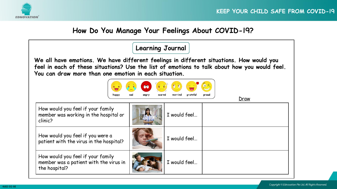